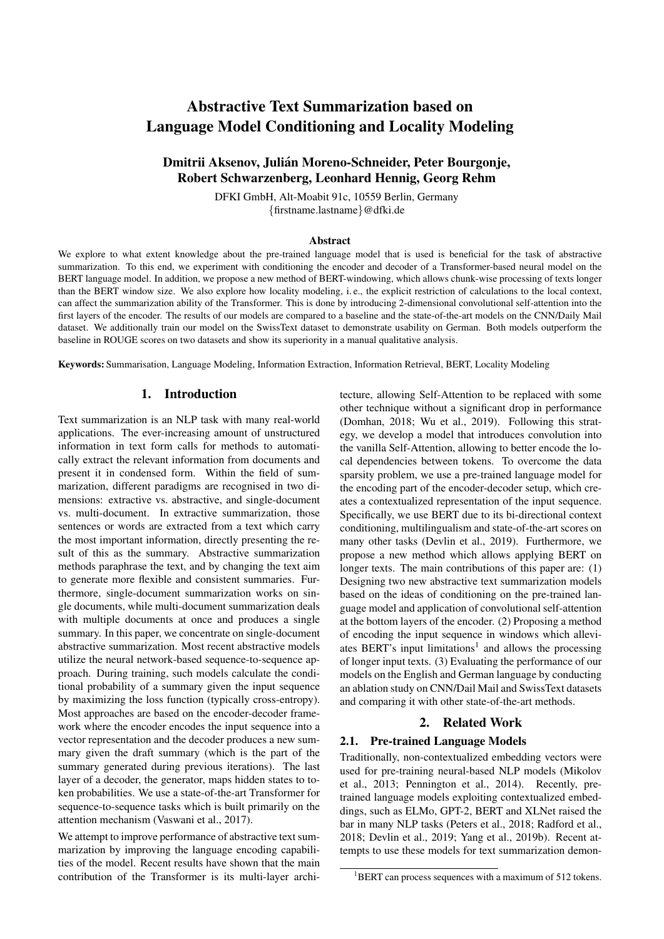# Abstractive Text Summarization based on Language Model Conditioning and Locality Modeling

# Dmitrii Aksenov, Julian Moreno-Schneider, Peter Bourgonje, ´ Robert Schwarzenberg, Leonhard Hennig, Georg Rehm

DFKI GmbH, Alt-Moabit 91c, 10559 Berlin, Germany {firstname.lastname}@dfki.de

#### **Abstract**

We explore to what extent knowledge about the pre-trained language model that is used is beneficial for the task of abstractive summarization. To this end, we experiment with conditioning the encoder and decoder of a Transformer-based neural model on the BERT language model. In addition, we propose a new method of BERT-windowing, which allows chunk-wise processing of texts longer than the BERT window size. We also explore how locality modeling, i. e., the explicit restriction of calculations to the local context, can affect the summarization ability of the Transformer. This is done by introducing 2-dimensional convolutional self-attention into the first layers of the encoder. The results of our models are compared to a baseline and the state-of-the-art models on the CNN/Daily Mail dataset. We additionally train our model on the SwissText dataset to demonstrate usability on German. Both models outperform the baseline in ROUGE scores on two datasets and show its superiority in a manual qualitative analysis.

Keywords: Summarisation, Language Modeling, Information Extraction, Information Retrieval, BERT, Locality Modeling

#### 1. Introduction

Text summarization is an NLP task with many real-world applications. The ever-increasing amount of unstructured information in text form calls for methods to automatically extract the relevant information from documents and present it in condensed form. Within the field of summarization, different paradigms are recognised in two dimensions: extractive vs. abstractive, and single-document vs. multi-document. In extractive summarization, those sentences or words are extracted from a text which carry the most important information, directly presenting the result of this as the summary. Abstractive summarization methods paraphrase the text, and by changing the text aim to generate more flexible and consistent summaries. Furthermore, single-document summarization works on single documents, while multi-document summarization deals with multiple documents at once and produces a single summary. In this paper, we concentrate on single-document abstractive summarization. Most recent abstractive models utilize the neural network-based sequence-to-sequence approach. During training, such models calculate the conditional probability of a summary given the input sequence by maximizing the loss function (typically cross-entropy). Most approaches are based on the encoder-decoder framework where the encoder encodes the input sequence into a vector representation and the decoder produces a new summary given the draft summary (which is the part of the summary generated during previous iterations). The last layer of a decoder, the generator, maps hidden states to token probabilities. We use a state-of-the-art Transformer for sequence-to-sequence tasks which is built primarily on the attention mechanism [\(Vaswani et al., 2017\)](#page-9-0).

We attempt to improve performance of abstractive text summarization by improving the language encoding capabilities of the model. Recent results have shown that the main contribution of the Transformer is its multi-layer architecture, allowing Self-Attention to be replaced with some other technique without a significant drop in performance [\(Domhan, 2018;](#page-8-0) [Wu et al., 2019\)](#page-9-1). Following this strategy, we develop a model that introduces convolution into the vanilla Self-Attention, allowing to better encode the local dependencies between tokens. To overcome the data sparsity problem, we use a pre-trained language model for the encoding part of the encoder-decoder setup, which creates a contextualized representation of the input sequence. Specifically, we use BERT due to its bi-directional context conditioning, multilingualism and state-of-the-art scores on many other tasks [\(Devlin et al., 2019\)](#page-8-1). Furthermore, we propose a new method which allows applying BERT on longer texts. The main contributions of this paper are: (1) Designing two new abstractive text summarization models based on the ideas of conditioning on the pre-trained language model and application of convolutional self-attention at the bottom layers of the encoder. (2) Proposing a method of encoding the input sequence in windows which allevi-ates BERT's input limitations<sup>[1](#page-0-0)</sup> and allows the processing of longer input texts. (3) Evaluating the performance of our models on the English and German language by conducting an ablation study on CNN/Dail Mail and SwissText datasets and comparing it with other state-of-the-art methods.

## 2. Related Work

## 2.1. Pre-trained Language Models

Traditionally, non-contextualized embedding vectors were used for pre-training neural-based NLP models [\(Mikolov](#page-8-2) [et al., 2013;](#page-8-2) [Pennington et al., 2014\)](#page-8-3). Recently, pretrained language models exploiting contextualized embeddings, such as ELMo, GPT-2, BERT and XLNet raised the bar in many NLP tasks [\(Peters et al., 2018;](#page-9-2) [Radford et al.,](#page-9-3) [2018;](#page-9-3) [Devlin et al., 2019;](#page-8-1) [Yang et al., 2019b\)](#page-9-4). Recent attempts to use these models for text summarization demon-

<span id="page-0-0"></span><sup>&</sup>lt;sup>1</sup>BERT can process sequences with a maximum of 512 tokens.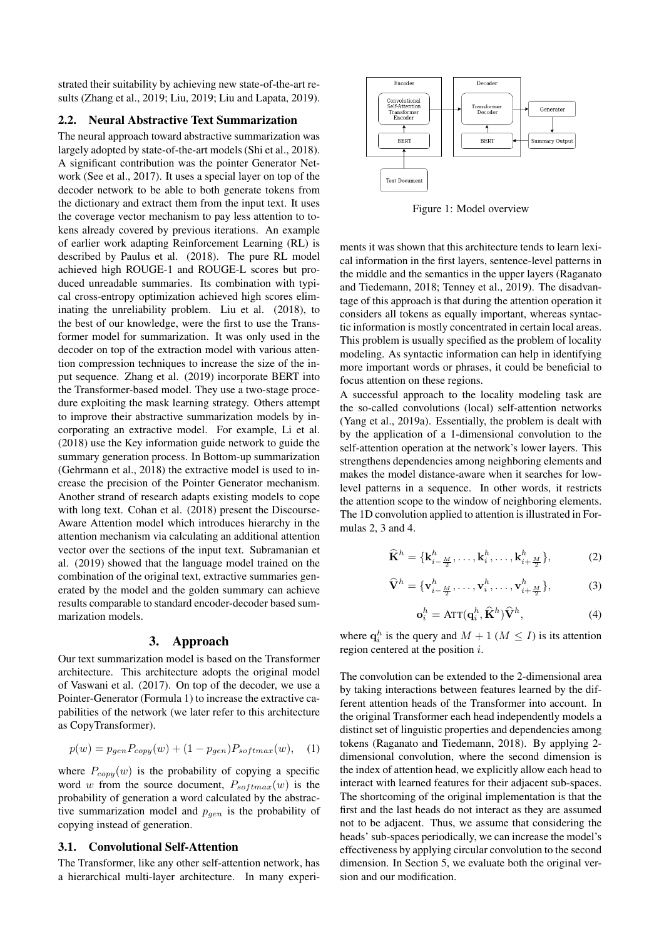strated their suitability by achieving new state-of-the-art results [\(Zhang et al., 2019;](#page-9-5) [Liu, 2019;](#page-8-4) [Liu and Lapata, 2019\)](#page-8-5).

## 2.2. Neural Abstractive Text Summarization

The neural approach toward abstractive summarization was largely adopted by state-of-the-art models [\(Shi et al., 2018\)](#page-9-6). A significant contribution was the pointer Generator Network [\(See et al., 2017\)](#page-9-7). It uses a special layer on top of the decoder network to be able to both generate tokens from the dictionary and extract them from the input text. It uses the coverage vector mechanism to pay less attention to tokens already covered by previous iterations. An example of earlier work adapting Reinforcement Learning (RL) is described by [Paulus et al. \(2018\)](#page-8-6). The pure RL model achieved high ROUGE-1 and ROUGE-L scores but produced unreadable summaries. Its combination with typical cross-entropy optimization achieved high scores eliminating the unreliability problem. [Liu et al. \(2018\)](#page-8-7), to the best of our knowledge, were the first to use the Transformer model for summarization. It was only used in the decoder on top of the extraction model with various attention compression techniques to increase the size of the input sequence. [Zhang et al. \(2019\)](#page-9-5) incorporate BERT into the Transformer-based model. They use a two-stage procedure exploiting the mask learning strategy. Others attempt to improve their abstractive summarization models by incorporating an extractive model. For example, [Li et al.](#page-8-8) [\(2018\)](#page-8-8) use the Key information guide network to guide the summary generation process. In Bottom-up summarization [\(Gehrmann et al., 2018\)](#page-8-9) the extractive model is used to increase the precision of the Pointer Generator mechanism. Another strand of research adapts existing models to cope with long text. [Cohan et al. \(2018\)](#page-8-10) present the Discourse-Aware Attention model which introduces hierarchy in the attention mechanism via calculating an additional attention vector over the sections of the input text. [Subramanian et](#page-9-8) [al. \(2019\)](#page-9-8) showed that the language model trained on the combination of the original text, extractive summaries generated by the model and the golden summary can achieve results comparable to standard encoder-decoder based summarization models.

#### 3. Approach

Our text summarization model is based on the Transformer architecture. This architecture adopts the original model of [Vaswani et al. \(2017\)](#page-9-0). On top of the decoder, we use a Pointer-Generator (Formula [1\)](#page-1-0) to increase the extractive capabilities of the network (we later refer to this architecture as CopyTransformer).

<span id="page-1-0"></span>
$$
p(w) = p_{gen} P_{copy}(w) + (1 - p_{gen}) P_{softmax}(w), \quad (1)
$$

where  $P_{copy}(w)$  is the probability of copying a specific word w from the source document,  $P_{softmax}(w)$  is the probability of generation a word calculated by the abstractive summarization model and  $p_{gen}$  is the probability of copying instead of generation.

#### 3.1. Convolutional Self-Attention

The Transformer, like any other self-attention network, has a hierarchical multi-layer architecture. In many experi-

<span id="page-1-4"></span>

Figure 1: Model overview

ments it was shown that this architecture tends to learn lexical information in the first layers, sentence-level patterns in the middle and the semantics in the upper layers [\(Raganato](#page-9-9) [and Tiedemann, 2018;](#page-9-9) [Tenney et al., 2019\)](#page-9-10). The disadvantage of this approach is that during the attention operation it considers all tokens as equally important, whereas syntactic information is mostly concentrated in certain local areas. This problem is usually specified as the problem of locality modeling. As syntactic information can help in identifying more important words or phrases, it could be beneficial to focus attention on these regions.

A successful approach to the locality modeling task are the so-called convolutions (local) self-attention networks [\(Yang et al., 2019a\)](#page-9-11). Essentially, the problem is dealt with by the application of a 1-dimensional convolution to the self-attention operation at the network's lower layers. This strengthens dependencies among neighboring elements and makes the model distance-aware when it searches for lowlevel patterns in a sequence. In other words, it restricts the attention scope to the window of neighboring elements. The 1D convolution applied to attention is illustrated in Formulas [2,](#page-1-1) [3](#page-1-2) and [4.](#page-1-3)

<span id="page-1-1"></span>
$$
\widehat{\mathbf{K}}^{h} = \{ \mathbf{k}_{i-\frac{M}{2}}^{h}, \dots, \mathbf{k}_{i}^{h}, \dots, \mathbf{k}_{i+\frac{M}{2}}^{h} \},\tag{2}
$$

<span id="page-1-2"></span>
$$
\widehat{\mathbf{V}}^h = \{\mathbf{v}_{i-\frac{M}{2}}^h, \dots, \mathbf{v}_i^h, \dots, \mathbf{v}_{i+\frac{M}{2}}^h\},\tag{3}
$$

<span id="page-1-3"></span>
$$
\mathbf{o}_i^h = \text{ATT}(\mathbf{q}_i^h, \widehat{\mathbf{K}}^h) \widehat{\mathbf{V}}^h,\tag{4}
$$

where  $\mathbf{q}_i^h$  is the query and  $M + 1$  ( $M \leq I$ ) is its attention region centered at the position i.

The convolution can be extended to the 2-dimensional area by taking interactions between features learned by the different attention heads of the Transformer into account. In the original Transformer each head independently models a distinct set of linguistic properties and dependencies among tokens [\(Raganato and Tiedemann, 2018\)](#page-9-9). By applying 2 dimensional convolution, where the second dimension is the index of attention head, we explicitly allow each head to interact with learned features for their adjacent sub-spaces. The shortcoming of the original implementation is that the first and the last heads do not interact as they are assumed not to be adjacent. Thus, we assume that considering the heads' sub-spaces periodically, we can increase the model's effectiveness by applying circular convolution to the second dimension. In Section [5,](#page-4-0) we evaluate both the original version and our modification.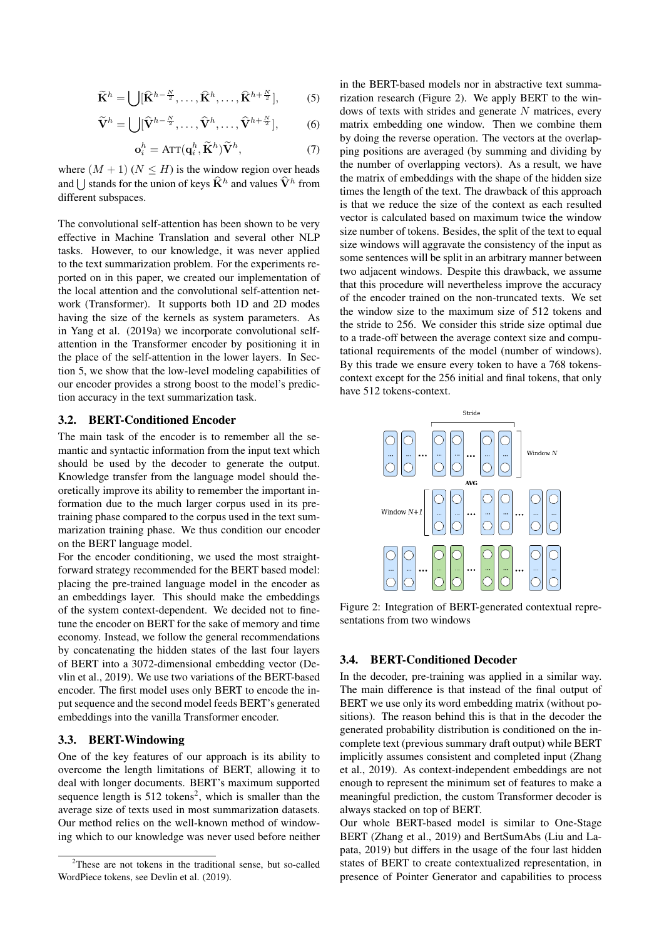$$
\widetilde{\mathbf{K}}^h = \bigcup [\widehat{\mathbf{K}}^{h-\frac{N}{2}}, \dots, \widehat{\mathbf{K}}^h, \dots, \widehat{\mathbf{K}}^{h+\frac{N}{2}}],\tag{5}
$$

$$
\widetilde{\mathbf{V}}^h = \bigcup [\widehat{\mathbf{V}}^{h-\frac{N}{2}}, \dots, \widehat{\mathbf{V}}^h, \dots, \widehat{\mathbf{V}}^{h+\frac{N}{2}}],\tag{6}
$$

$$
\mathbf{o}_i^h = \text{ATT}(\mathbf{q}_i^h, \widetilde{\mathbf{K}}^h) \widetilde{\mathbf{V}}^h,\tag{7}
$$

where  $(M + 1)$   $(N \leq H)$  is the window region over heads and  $\bigcup$  stands for the union of keys  $\hat{\mathbf{K}}^h$  and values  $\hat{\mathbf{V}}^h$  from different subspaces.

The convolutional self-attention has been shown to be very effective in Machine Translation and several other NLP tasks. However, to our knowledge, it was never applied to the text summarization problem. For the experiments reported on in this paper, we created our implementation of the local attention and the convolutional self-attention network (Transformer). It supports both 1D and 2D modes having the size of the kernels as system parameters. As in [Yang et al. \(2019a\)](#page-9-11) we incorporate convolutional selfattention in the Transformer encoder by positioning it in the place of the self-attention in the lower layers. In Section [5,](#page-4-0) we show that the low-level modeling capabilities of our encoder provides a strong boost to the model's prediction accuracy in the text summarization task.

## 3.2. BERT-Conditioned Encoder

The main task of the encoder is to remember all the semantic and syntactic information from the input text which should be used by the decoder to generate the output. Knowledge transfer from the language model should theoretically improve its ability to remember the important information due to the much larger corpus used in its pretraining phase compared to the corpus used in the text summarization training phase. We thus condition our encoder on the BERT language model.

For the encoder conditioning, we used the most straightforward strategy recommended for the BERT based model: placing the pre-trained language model in the encoder as an embeddings layer. This should make the embeddings of the system context-dependent. We decided not to finetune the encoder on BERT for the sake of memory and time economy. Instead, we follow the general recommendations by concatenating the hidden states of the last four layers of BERT into a 3072-dimensional embedding vector [\(De](#page-8-1)[vlin et al., 2019\)](#page-8-1). We use two variations of the BERT-based encoder. The first model uses only BERT to encode the input sequence and the second model feeds BERT's generated embeddings into the vanilla Transformer encoder.

## 3.3. BERT-Windowing

One of the key features of our approach is its ability to overcome the length limitations of BERT, allowing it to deal with longer documents. BERT's maximum supported sequence length is  $512$  $512$  tokens<sup>2</sup>, which is smaller than the average size of texts used in most summarization datasets. Our method relies on the well-known method of windowing which to our knowledge was never used before neither in the BERT-based models nor in abstractive text summarization research (Figure [2\)](#page-2-1). We apply BERT to the windows of texts with strides and generate  $N$  matrices, every matrix embedding one window. Then we combine them by doing the reverse operation. The vectors at the overlapping positions are averaged (by summing and dividing by the number of overlapping vectors). As a result, we have the matrix of embeddings with the shape of the hidden size times the length of the text. The drawback of this approach is that we reduce the size of the context as each resulted vector is calculated based on maximum twice the window size number of tokens. Besides, the split of the text to equal size windows will aggravate the consistency of the input as some sentences will be split in an arbitrary manner between two adjacent windows. Despite this drawback, we assume that this procedure will nevertheless improve the accuracy of the encoder trained on the non-truncated texts. We set the window size to the maximum size of 512 tokens and the stride to 256. We consider this stride size optimal due to a trade-off between the average context size and computational requirements of the model (number of windows). By this trade we ensure every token to have a 768 tokenscontext except for the 256 initial and final tokens, that only have 512 tokens-context.

<span id="page-2-1"></span>

Figure 2: Integration of BERT-generated contextual representations from two windows

#### 3.4. BERT-Conditioned Decoder

In the decoder, pre-training was applied in a similar way. The main difference is that instead of the final output of BERT we use only its word embedding matrix (without positions). The reason behind this is that in the decoder the generated probability distribution is conditioned on the incomplete text (previous summary draft output) while BERT implicitly assumes consistent and completed input [\(Zhang](#page-9-5) [et al., 2019\)](#page-9-5). As context-independent embeddings are not enough to represent the minimum set of features to make a meaningful prediction, the custom Transformer decoder is always stacked on top of BERT.

Our whole BERT-based model is similar to One-Stage BERT [\(Zhang et al., 2019\)](#page-9-5) and BertSumAbs [\(Liu and La](#page-8-5)[pata, 2019\)](#page-8-5) but differs in the usage of the four last hidden states of BERT to create contextualized representation, in presence of Pointer Generator and capabilities to process

<span id="page-2-0"></span><sup>&</sup>lt;sup>2</sup>These are not tokens in the traditional sense, but so-called WordPiece tokens, see [Devlin et al. \(2019\)](#page-8-1).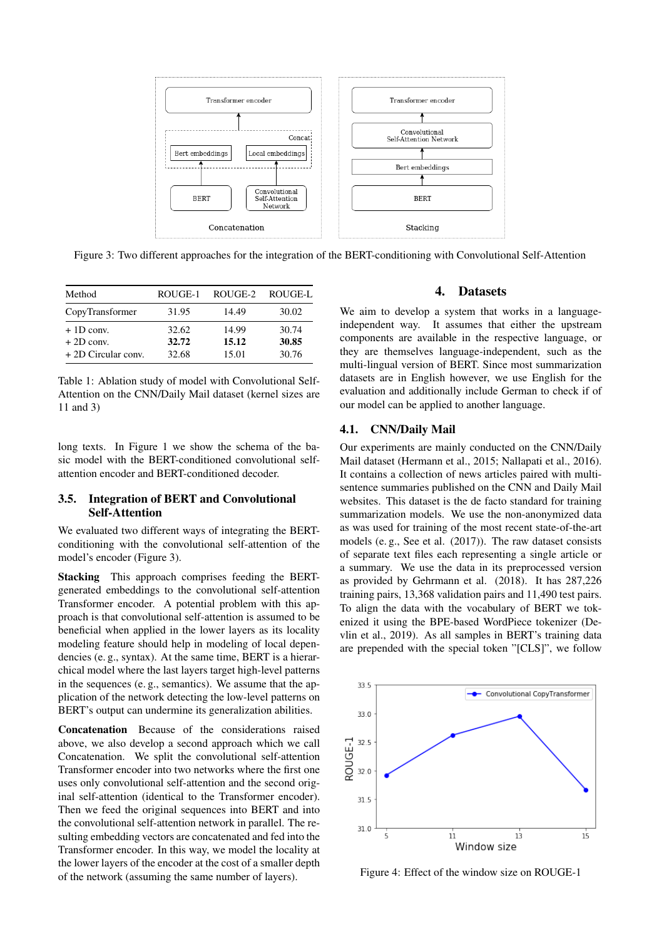<span id="page-3-0"></span>

Figure 3: Two different approaches for the integration of the BERT-conditioning with Convolutional Self-Attention

<span id="page-3-1"></span>

| Method                                            | ROUGE-1                 | ROUGE-2                 | ROUGE-L                 |
|---------------------------------------------------|-------------------------|-------------------------|-------------------------|
| CopyTransformer                                   | 31.95                   | 14.49                   | 30.02                   |
| $+1D$ conv.<br>$+2D$ conv.<br>+ 2D Circular conv. | 32.62<br>32.72<br>32.68 | 14.99<br>15.12<br>15.01 | 30.74<br>30.85<br>30.76 |

Table 1: Ablation study of model with Convolutional Self-Attention on the CNN/Daily Mail dataset (kernel sizes are 11 and 3)

long texts. In Figure [1](#page-1-4) we show the schema of the basic model with the BERT-conditioned convolutional selfattention encoder and BERT-conditioned decoder.

## 3.5. Integration of BERT and Convolutional Self-Attention

We evaluated two different ways of integrating the BERTconditioning with the convolutional self-attention of the model's encoder (Figure [3\)](#page-3-0).

Stacking This approach comprises feeding the BERTgenerated embeddings to the convolutional self-attention Transformer encoder. A potential problem with this approach is that convolutional self-attention is assumed to be beneficial when applied in the lower layers as its locality modeling feature should help in modeling of local dependencies (e. g., syntax). At the same time, BERT is a hierarchical model where the last layers target high-level patterns in the sequences (e. g., semantics). We assume that the application of the network detecting the low-level patterns on BERT's output can undermine its generalization abilities.

Concatenation Because of the considerations raised above, we also develop a second approach which we call Concatenation. We split the convolutional self-attention Transformer encoder into two networks where the first one uses only convolutional self-attention and the second original self-attention (identical to the Transformer encoder). Then we feed the original sequences into BERT and into the convolutional self-attention network in parallel. The resulting embedding vectors are concatenated and fed into the Transformer encoder. In this way, we model the locality at the lower layers of the encoder at the cost of a smaller depth of the network (assuming the same number of layers).

## 4. Datasets

We aim to develop a system that works in a languageindependent way. It assumes that either the upstream components are available in the respective language, or they are themselves language-independent, such as the multi-lingual version of BERT. Since most summarization datasets are in English however, we use English for the evaluation and additionally include German to check if of our model can be applied to another language.

## 4.1. CNN/Daily Mail

Our experiments are mainly conducted on the CNN/Daily Mail dataset [\(Hermann et al., 2015;](#page-8-11) [Nallapati et al., 2016\)](#page-8-12). It contains a collection of news articles paired with multisentence summaries published on the CNN and Daily Mail websites. This dataset is the de facto standard for training summarization models. We use the non-anonymized data as was used for training of the most recent state-of-the-art models (e. g., [See et al. \(2017\)](#page-9-7)). The raw dataset consists of separate text files each representing a single article or a summary. We use the data in its preprocessed version as provided by [Gehrmann et al. \(2018\)](#page-8-9). It has 287,226 training pairs, 13,368 validation pairs and 11,490 test pairs. To align the data with the vocabulary of BERT we tokenized it using the BPE-based WordPiece tokenizer [\(De](#page-8-1)[vlin et al., 2019\)](#page-8-1). As all samples in BERT's training data are prepended with the special token "[CLS]", we follow

<span id="page-3-2"></span>

Figure 4: Effect of the window size on ROUGE-1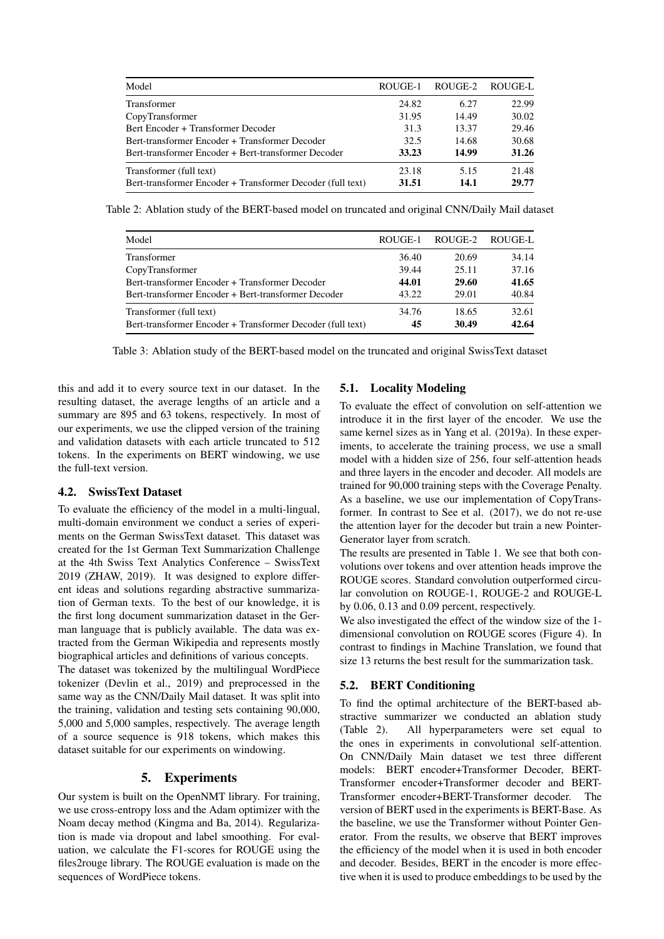<span id="page-4-1"></span>

| Model                                                      | ROUGE-1 | ROUGE-2 | ROUGE-L |
|------------------------------------------------------------|---------|---------|---------|
| Transformer                                                | 24.82   | 6.27    | 22.99   |
| CopyTransformer                                            | 31.95   | 14.49   | 30.02   |
| Bert Encoder + Transformer Decoder                         | 31.3    | 13.37   | 29.46   |
| Bert-transformer Encoder + Transformer Decoder             | 32.5    | 14.68   | 30.68   |
| Bert-transformer Encoder + Bert-transformer Decoder        | 33.23   | 14.99   | 31.26   |
| Transformer (full text)                                    | 23.18   | 5.15    | 21.48   |
| Bert-transformer Encoder + Transformer Decoder (full text) | 31.51   | 14.1    | 29.77   |

<span id="page-4-2"></span>Table 2: Ablation study of the BERT-based model on truncated and original CNN/Daily Mail dataset

| ROUGE-2 | ROUGE-L |
|---------|---------|
| 20.69   | 34.14   |
| 25.11   | 37.16   |
| 29.60   | 41.65   |
| 29.01   | 40.84   |
| 18.65   | 32.61   |
| 30.49   | 42.64   |
|         |         |

Table 3: Ablation study of the BERT-based model on the truncated and original SwissText dataset

this and add it to every source text in our dataset. In the resulting dataset, the average lengths of an article and a summary are 895 and 63 tokens, respectively. In most of our experiments, we use the clipped version of the training and validation datasets with each article truncated to 512 tokens. In the experiments on BERT windowing, we use the full-text version.

## 4.2. SwissText Dataset

To evaluate the efficiency of the model in a multi-lingual, multi-domain environment we conduct a series of experiments on the German SwissText dataset. This dataset was created for the 1st German Text Summarization Challenge at the 4th Swiss Text Analytics Conference – SwissText 2019 [\(ZHAW, 2019\)](#page-9-12). It was designed to explore different ideas and solutions regarding abstractive summarization of German texts. To the best of our knowledge, it is the first long document summarization dataset in the German language that is publicly available. The data was extracted from the German Wikipedia and represents mostly biographical articles and definitions of various concepts.

The dataset was tokenized by the multilingual WordPiece tokenizer [\(Devlin et al., 2019\)](#page-8-1) and preprocessed in the same way as the CNN/Daily Mail dataset. It was split into the training, validation and testing sets containing 90,000, 5,000 and 5,000 samples, respectively. The average length of a source sequence is 918 tokens, which makes this dataset suitable for our experiments on windowing.

#### 5. Experiments

<span id="page-4-0"></span>Our system is built on the OpenNMT library. For training, we use cross-entropy loss and the Adam optimizer with the Noam decay method [\(Kingma and Ba, 2014\)](#page-8-13). Regularization is made via dropout and label smoothing. For evaluation, we calculate the F1-scores for ROUGE using the files2rouge library. The ROUGE evaluation is made on the sequences of WordPiece tokens.

## 5.1. Locality Modeling

To evaluate the effect of convolution on self-attention we introduce it in the first layer of the encoder. We use the same kernel sizes as in [Yang et al. \(2019a\)](#page-9-11). In these experiments, to accelerate the training process, we use a small model with a hidden size of 256, four self-attention heads and three layers in the encoder and decoder. All models are trained for 90,000 training steps with the Coverage Penalty. As a baseline, we use our implementation of CopyTransformer. In contrast to [See et al. \(2017\)](#page-9-7), we do not re-use the attention layer for the decoder but train a new Pointer-Generator layer from scratch.

The results are presented in Table [1.](#page-3-1) We see that both convolutions over tokens and over attention heads improve the ROUGE scores. Standard convolution outperformed circular convolution on ROUGE-1, ROUGE-2 and ROUGE-L by 0.06, 0.13 and 0.09 percent, respectively.

We also investigated the effect of the window size of the 1 dimensional convolution on ROUGE scores (Figure [4\)](#page-3-2). In contrast to findings in Machine Translation, we found that size 13 returns the best result for the summarization task.

## 5.2. BERT Conditioning

To find the optimal architecture of the BERT-based abstractive summarizer we conducted an ablation study (Table [2\)](#page-4-1). All hyperparameters were set equal to the ones in experiments in convolutional self-attention. On CNN/Daily Main dataset we test three different models: BERT encoder+Transformer Decoder, BERT-Transformer encoder+Transformer decoder and BERT-Transformer encoder+BERT-Transformer decoder. The version of BERT used in the experiments is BERT-Base. As the baseline, we use the Transformer without Pointer Generator. From the results, we observe that BERT improves the efficiency of the model when it is used in both encoder and decoder. Besides, BERT in the encoder is more effective when it is used to produce embeddings to be used by the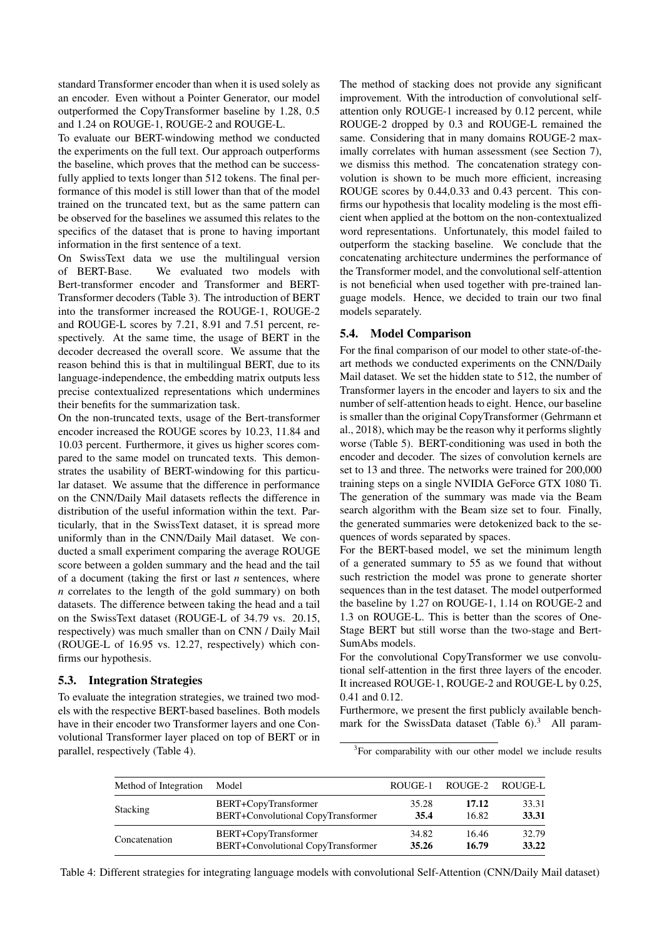standard Transformer encoder than when it is used solely as an encoder. Even without a Pointer Generator, our model outperformed the CopyTransformer baseline by 1.28, 0.5 and 1.24 on ROUGE-1, ROUGE-2 and ROUGE-L.

To evaluate our BERT-windowing method we conducted the experiments on the full text. Our approach outperforms the baseline, which proves that the method can be successfully applied to texts longer than 512 tokens. The final performance of this model is still lower than that of the model trained on the truncated text, but as the same pattern can be observed for the baselines we assumed this relates to the specifics of the dataset that is prone to having important information in the first sentence of a text.

On SwissText data we use the multilingual version of BERT-Base. We evaluated two models with Bert-transformer encoder and Transformer and BERT-Transformer decoders (Table [3\)](#page-4-2). The introduction of BERT into the transformer increased the ROUGE-1, ROUGE-2 and ROUGE-L scores by 7.21, 8.91 and 7.51 percent, respectively. At the same time, the usage of BERT in the decoder decreased the overall score. We assume that the reason behind this is that in multilingual BERT, due to its language-independence, the embedding matrix outputs less precise contextualized representations which undermines their benefits for the summarization task.

On the non-truncated texts, usage of the Bert-transformer encoder increased the ROUGE scores by 10.23, 11.84 and 10.03 percent. Furthermore, it gives us higher scores compared to the same model on truncated texts. This demonstrates the usability of BERT-windowing for this particular dataset. We assume that the difference in performance on the CNN/Daily Mail datasets reflects the difference in distribution of the useful information within the text. Particularly, that in the SwissText dataset, it is spread more uniformly than in the CNN/Daily Mail dataset. We conducted a small experiment comparing the average ROUGE score between a golden summary and the head and the tail of a document (taking the first or last *n* sentences, where *n* correlates to the length of the gold summary) on both datasets. The difference between taking the head and a tail on the SwissText dataset (ROUGE-L of 34.79 vs. 20.15, respectively) was much smaller than on CNN / Daily Mail (ROUGE-L of 16.95 vs. 12.27, respectively) which confirms our hypothesis.

## 5.3. Integration Strategies

To evaluate the integration strategies, we trained two models with the respective BERT-based baselines. Both models have in their encoder two Transformer layers and one Convolutional Transformer layer placed on top of BERT or in parallel, respectively (Table [4\)](#page-5-0).

The method of stacking does not provide any significant improvement. With the introduction of convolutional selfattention only ROUGE-1 increased by 0.12 percent, while ROUGE-2 dropped by 0.3 and ROUGE-L remained the same. Considering that in many domains ROUGE-2 maximally correlates with human assessment (see Section [7\)](#page-6-0), we dismiss this method. The concatenation strategy convolution is shown to be much more efficient, increasing ROUGE scores by 0.44,0.33 and 0.43 percent. This confirms our hypothesis that locality modeling is the most efficient when applied at the bottom on the non-contextualized word representations. Unfortunately, this model failed to outperform the stacking baseline. We conclude that the concatenating architecture undermines the performance of the Transformer model, and the convolutional self-attention is not beneficial when used together with pre-trained language models. Hence, we decided to train our two final models separately.

## 5.4. Model Comparison

For the final comparison of our model to other state-of-theart methods we conducted experiments on the CNN/Daily Mail dataset. We set the hidden state to 512, the number of Transformer layers in the encoder and layers to six and the number of self-attention heads to eight. Hence, our baseline is smaller than the original CopyTransformer [\(Gehrmann et](#page-8-9) [al., 2018\)](#page-8-9), which may be the reason why it performs slightly worse (Table [5\)](#page-6-1). BERT-conditioning was used in both the encoder and decoder. The sizes of convolution kernels are set to 13 and three. The networks were trained for 200,000 training steps on a single NVIDIA GeForce GTX 1080 Ti. The generation of the summary was made via the Beam search algorithm with the Beam size set to four. Finally, the generated summaries were detokenized back to the sequences of words separated by spaces.

For the BERT-based model, we set the minimum length of a generated summary to 55 as we found that without such restriction the model was prone to generate shorter sequences than in the test dataset. The model outperformed the baseline by 1.27 on ROUGE-1, 1.14 on ROUGE-2 and 1.3 on ROUGE-L. This is better than the scores of One-Stage BERT but still worse than the two-stage and Bert-SumAbs models.

For the convolutional CopyTransformer we use convolutional self-attention in the first three layers of the encoder. It increased ROUGE-1, ROUGE-2 and ROUGE-L by 0.25, 0.41 and 0.12.

Furthermore, we present the first publicly available benchmark for the SwissData dataset (Table  $6$ ).<sup>[3](#page-5-1)</sup> All param-

<span id="page-5-1"></span><sup>3</sup>For comparability with our other model we include results

<span id="page-5-0"></span>

| Method of Integration | Model                              | ROUGE-1 | ROUGE-2 | ROUGE-L |
|-----------------------|------------------------------------|---------|---------|---------|
| Stacking              | BERT+CopyTransformer               | 35.28   | 17.12   | 33.31   |
|                       | BERT+Convolutional CopyTransformer | 35.4    | 16.82   | 33.31   |
| Concatenation         | BERT+CopyTransformer               | 34.82   | 16.46   | 32.79   |
|                       | BERT+Convolutional CopyTransformer | 35.26   | 16.79   | 33.22   |

Table 4: Different strategies for integrating language models with convolutional Self-Attention (CNN/Daily Mail dataset)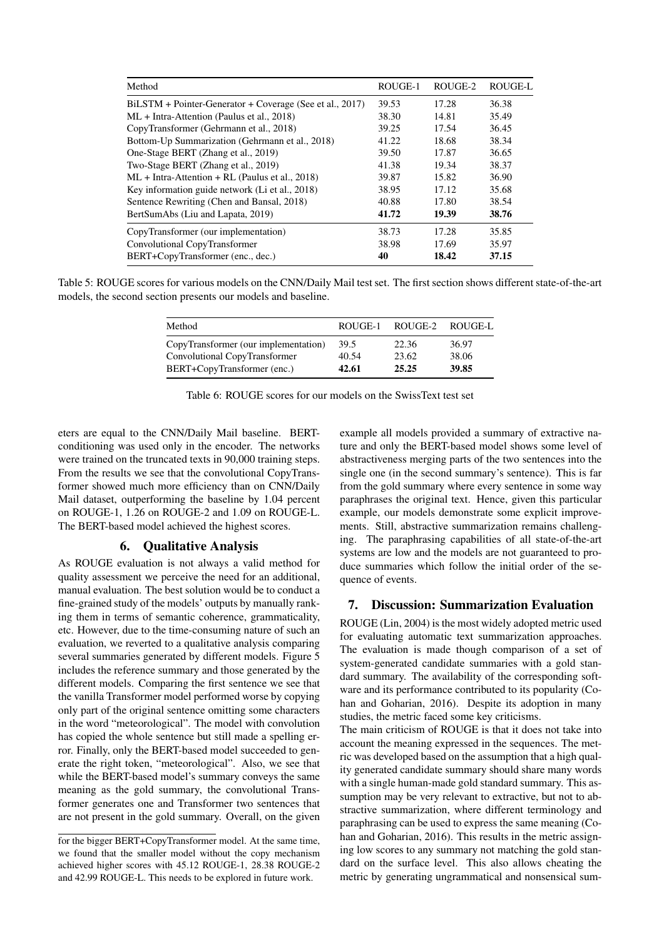<span id="page-6-1"></span>

| Method                                                   | ROUGE-1 | ROUGE-2 | ROUGE-L |
|----------------------------------------------------------|---------|---------|---------|
| BiLSTM + Pointer-Generator + Coverage (See et al., 2017) | 39.53   | 17.28   | 36.38   |
| $ML + Intra-Attention$ (Paulus et al., 2018)             | 38.30   | 14.81   | 35.49   |
| CopyTransformer (Gehrmann et al., 2018)                  | 39.25   | 17.54   | 36.45   |
| Bottom-Up Summarization (Gehrmann et al., 2018)          | 41.22   | 18.68   | 38.34   |
| One-Stage BERT (Zhang et al., 2019)                      | 39.50   | 17.87   | 36.65   |
| Two-Stage BERT (Zhang et al., 2019)                      | 41.38   | 19.34   | 38.37   |
| $ML + Intra-Attention + RL$ (Paulus et al., 2018)        | 39.87   | 15.82   | 36.90   |
| Key information guide network (Li et al., 2018)          | 38.95   | 17.12   | 35.68   |
| Sentence Rewriting (Chen and Bansal, 2018)               | 40.88   | 17.80   | 38.54   |
| BertSumAbs (Liu and Lapata, 2019)                        | 41.72   | 19.39   | 38.76   |
| CopyTransformer (our implementation)                     | 38.73   | 17.28   | 35.85   |
| Convolutional CopyTransformer                            | 38.98   | 17.69   | 35.97   |
| BERT+CopyTransformer (enc., dec.)                        | 40      | 18.42   | 37.15   |

<span id="page-6-2"></span>Table 5: ROUGE scores for various models on the CNN/Daily Mail test set. The first section shows different state-of-the-art models, the second section presents our models and baseline.

| Method                               | ROUGE-1 | ROUGE-2 | ROUGE-L |
|--------------------------------------|---------|---------|---------|
| CopyTransformer (our implementation) | 39.5    | 22.36   | 36.97   |
| Convolutional CopyTransformer        | 40.54   | 23.62   | 38.06   |
| BERT+CopyTransformer (enc.)          | 42.61   | 25.25   | 39.85   |

| Table 6: ROUGE scores for our models on the SwissText test set |  |  |  |
|----------------------------------------------------------------|--|--|--|
|----------------------------------------------------------------|--|--|--|

eters are equal to the CNN/Daily Mail baseline. BERTconditioning was used only in the encoder. The networks were trained on the truncated texts in 90,000 training steps. From the results we see that the convolutional CopyTransformer showed much more efficiency than on CNN/Daily Mail dataset, outperforming the baseline by 1.04 percent on ROUGE-1, 1.26 on ROUGE-2 and 1.09 on ROUGE-L. The BERT-based model achieved the highest scores.

## 6. Qualitative Analysis

As ROUGE evaluation is not always a valid method for quality assessment we perceive the need for an additional, manual evaluation. The best solution would be to conduct a fine-grained study of the models' outputs by manually ranking them in terms of semantic coherence, grammaticality, etc. However, due to the time-consuming nature of such an evaluation, we reverted to a qualitative analysis comparing several summaries generated by different models. Figure [5](#page-7-0) includes the reference summary and those generated by the different models. Comparing the first sentence we see that the vanilla Transformer model performed worse by copying only part of the original sentence omitting some characters in the word "meteorological". The model with convolution has copied the whole sentence but still made a spelling error. Finally, only the BERT-based model succeeded to generate the right token, "meteorological". Also, we see that while the BERT-based model's summary conveys the same meaning as the gold summary, the convolutional Transformer generates one and Transformer two sentences that are not present in the gold summary. Overall, on the given example all models provided a summary of extractive nature and only the BERT-based model shows some level of abstractiveness merging parts of the two sentences into the single one (in the second summary's sentence). This is far from the gold summary where every sentence in some way paraphrases the original text. Hence, given this particular example, our models demonstrate some explicit improvements. Still, abstractive summarization remains challenging. The paraphrasing capabilities of all state-of-the-art systems are low and the models are not guaranteed to produce summaries which follow the initial order of the sequence of events.

## <span id="page-6-0"></span>7. Discussion: Summarization Evaluation

ROUGE [\(Lin, 2004\)](#page-8-15) is the most widely adopted metric used for evaluating automatic text summarization approaches. The evaluation is made though comparison of a set of system-generated candidate summaries with a gold standard summary. The availability of the corresponding software and its performance contributed to its popularity [\(Co](#page-8-16)[han and Goharian, 2016\)](#page-8-16). Despite its adoption in many studies, the metric faced some key criticisms.

The main criticism of ROUGE is that it does not take into account the meaning expressed in the sequences. The metric was developed based on the assumption that a high quality generated candidate summary should share many words with a single human-made gold standard summary. This assumption may be very relevant to extractive, but not to abstractive summarization, where different terminology and paraphrasing can be used to express the same meaning [\(Co](#page-8-16)[han and Goharian, 2016\)](#page-8-16). This results in the metric assigning low scores to any summary not matching the gold standard on the surface level. This also allows cheating the metric by generating ungrammatical and nonsensical sum-

for the bigger BERT+CopyTransformer model. At the same time, we found that the smaller model without the copy mechanism achieved higher scores with 45.12 ROUGE-1, 28.38 ROUGE-2 and 42.99 ROUGE-L. This needs to be explored in future work.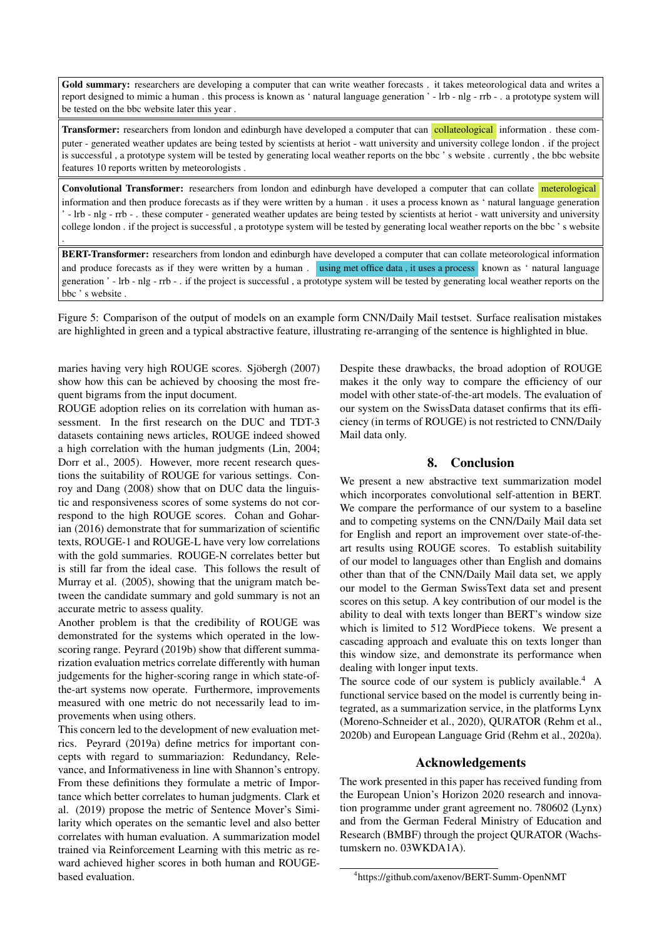<span id="page-7-0"></span>Gold summary: researchers are developing a computer that can write weather forecasts . it takes meteorological data and writes a report designed to mimic a human . this process is known as ' natural language generation ' - lrb - nlg - rrb - . a prototype system will be tested on the bbc website later this year .

Transformer: researchers from london and edinburgh have developed a computer that can collateological information . these computer - generated weather updates are being tested by scientists at heriot - watt university and university college london . if the project is successful , a prototype system will be tested by generating local weather reports on the bbc ' s website . currently , the bbc website features 10 reports written by meteorologists .

Convolutional Transformer: researchers from london and edinburgh have developed a computer that can collate meterological information and then produce forecasts as if they were written by a human . it uses a process known as ' natural language generation ' - lrb - nlg - rrb - . these computer - generated weather updates are being tested by scientists at heriot - watt university and university college london . if the project is successful , a prototype system will be tested by generating local weather reports on the bbc ' s website

BERT-Transformer: researchers from london and edinburgh have developed a computer that can collate meteorological information and produce forecasts as if they were written by a human. using met office data, it uses a process known as ' natural language generation ' - lrb - nlg - rrb - . if the project is successful , a prototype system will be tested by generating local weather reports on the bbc ' s website .

Figure 5: Comparison of the output of models on an example form CNN/Daily Mail testset. Surface realisation mistakes are highlighted in green and a typical abstractive feature, illustrating re-arranging of the sentence is highlighted in blue.

maries having very high ROUGE scores. Sjöbergh (2007) show how this can be achieved by choosing the most frequent bigrams from the input document.

.

ROUGE adoption relies on its correlation with human assessment. In the first research on the DUC and TDT-3 datasets containing news articles, ROUGE indeed showed a high correlation with the human judgments [\(Lin, 2004;](#page-8-15) [Dorr et al., 2005\)](#page-8-17). However, more recent research questions the suitability of ROUGE for various settings. [Con](#page-8-18)[roy and Dang \(2008\)](#page-8-18) show that on DUC data the linguistic and responsiveness scores of some systems do not correspond to the high ROUGE scores. [Cohan and Gohar](#page-8-16)[ian \(2016\)](#page-8-16) demonstrate that for summarization of scientific texts, ROUGE-1 and ROUGE-L have very low correlations with the gold summaries. ROUGE-N correlates better but is still far from the ideal case. This follows the result of [Murray et al. \(2005\)](#page-8-19), showing that the unigram match between the candidate summary and gold summary is not an accurate metric to assess quality.

Another problem is that the credibility of ROUGE was demonstrated for the systems which operated in the lowscoring range. [Peyrard \(2019b\)](#page-9-14) show that different summarization evaluation metrics correlate differently with human judgements for the higher-scoring range in which state-ofthe-art systems now operate. Furthermore, improvements measured with one metric do not necessarily lead to improvements when using others.

This concern led to the development of new evaluation metrics. [Peyrard \(2019a\)](#page-9-15) define metrics for important concepts with regard to summariazion: Redundancy, Relevance, and Informativeness in line with Shannon's entropy. From these definitions they formulate a metric of Importance which better correlates to human judgments. [Clark et](#page-8-20) [al. \(2019\)](#page-8-20) propose the metric of Sentence Mover's Similarity which operates on the semantic level and also better correlates with human evaluation. A summarization model trained via Reinforcement Learning with this metric as reward achieved higher scores in both human and ROUGEbased evaluation.

Despite these drawbacks, the broad adoption of ROUGE makes it the only way to compare the efficiency of our model with other state-of-the-art models. The evaluation of our system on the SwissData dataset confirms that its efficiency (in terms of ROUGE) is not restricted to CNN/Daily Mail data only.

## 8. Conclusion

We present a new abstractive text summarization model which incorporates convolutional self-attention in BERT. We compare the performance of our system to a baseline and to competing systems on the CNN/Daily Mail data set for English and report an improvement over state-of-theart results using ROUGE scores. To establish suitability of our model to languages other than English and domains other than that of the CNN/Daily Mail data set, we apply our model to the German SwissText data set and present scores on this setup. A key contribution of our model is the ability to deal with texts longer than BERT's window size which is limited to 512 WordPiece tokens. We present a cascading approach and evaluate this on texts longer than this window size, and demonstrate its performance when dealing with longer input texts.

The source code of our system is publicly available.<sup>[4](#page-7-1)</sup> A functional service based on the model is currently being integrated, as a summarization service, in the platforms Lynx [\(Moreno-Schneider et al., 2020\)](#page-8-21), QURATOR [\(Rehm et al.,](#page-9-16) [2020b\)](#page-9-16) and European Language Grid [\(Rehm et al., 2020a\)](#page-9-17).

## Acknowledgements

The work presented in this paper has received funding from the European Union's Horizon 2020 research and innovation programme under grant agreement no. 780602 (Lynx) and from the German Federal Ministry of Education and Research (BMBF) through the project QURATOR (Wachstumskern no. 03WKDA1A).

<span id="page-7-1"></span><sup>4</sup> <https://github.com/axenov/BERT-Summ-OpenNMT>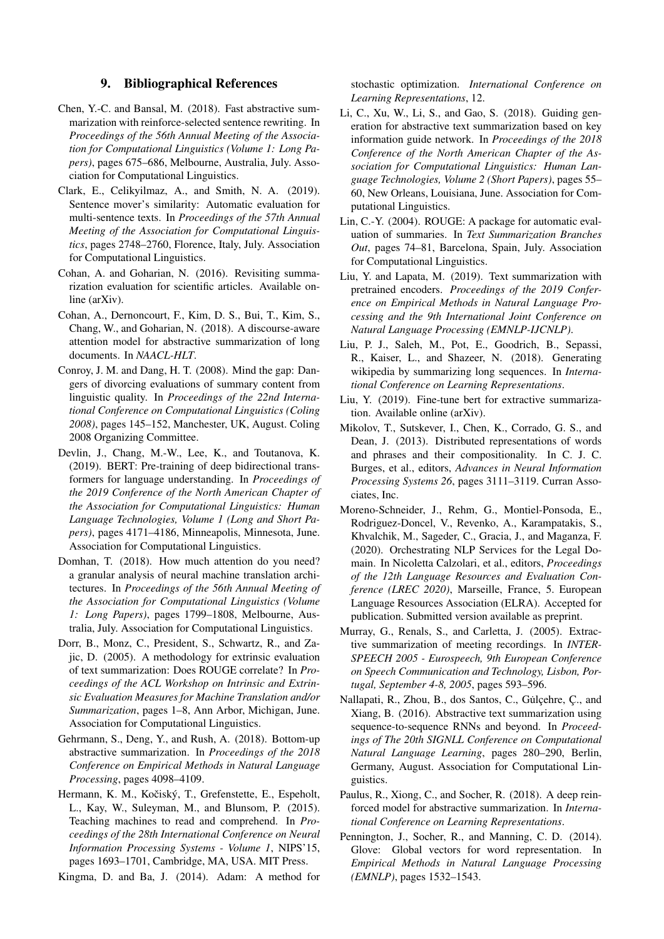## 9. Bibliographical References

- <span id="page-8-14"></span>Chen, Y.-C. and Bansal, M. (2018). Fast abstractive summarization with reinforce-selected sentence rewriting. In *Proceedings of the 56th Annual Meeting of the Association for Computational Linguistics (Volume 1: Long Papers)*, pages 675–686, Melbourne, Australia, July. Association for Computational Linguistics.
- <span id="page-8-20"></span>Clark, E., Celikyilmaz, A., and Smith, N. A. (2019). Sentence mover's similarity: Automatic evaluation for multi-sentence texts. In *Proceedings of the 57th Annual Meeting of the Association for Computational Linguistics*, pages 2748–2760, Florence, Italy, July. Association for Computational Linguistics.
- <span id="page-8-16"></span>Cohan, A. and Goharian, N. (2016). Revisiting summarization evaluation for scientific articles. Available online (arXiv).
- <span id="page-8-10"></span>Cohan, A., Dernoncourt, F., Kim, D. S., Bui, T., Kim, S., Chang, W., and Goharian, N. (2018). A discourse-aware attention model for abstractive summarization of long documents. In *NAACL-HLT*.
- <span id="page-8-18"></span>Conroy, J. M. and Dang, H. T. (2008). Mind the gap: Dangers of divorcing evaluations of summary content from linguistic quality. In *Proceedings of the 22nd International Conference on Computational Linguistics (Coling 2008)*, pages 145–152, Manchester, UK, August. Coling 2008 Organizing Committee.
- <span id="page-8-1"></span>Devlin, J., Chang, M.-W., Lee, K., and Toutanova, K. (2019). BERT: Pre-training of deep bidirectional transformers for language understanding. In *Proceedings of the 2019 Conference of the North American Chapter of the Association for Computational Linguistics: Human Language Technologies, Volume 1 (Long and Short Papers)*, pages 4171–4186, Minneapolis, Minnesota, June. Association for Computational Linguistics.
- <span id="page-8-0"></span>Domhan, T. (2018). How much attention do you need? a granular analysis of neural machine translation architectures. In *Proceedings of the 56th Annual Meeting of the Association for Computational Linguistics (Volume 1: Long Papers)*, pages 1799–1808, Melbourne, Australia, July. Association for Computational Linguistics.
- <span id="page-8-17"></span>Dorr, B., Monz, C., President, S., Schwartz, R., and Zajic, D. (2005). A methodology for extrinsic evaluation of text summarization: Does ROUGE correlate? In *Proceedings of the ACL Workshop on Intrinsic and Extrinsic Evaluation Measures for Machine Translation and/or Summarization*, pages 1–8, Ann Arbor, Michigan, June. Association for Computational Linguistics.
- <span id="page-8-9"></span>Gehrmann, S., Deng, Y., and Rush, A. (2018). Bottom-up abstractive summarization. In *Proceedings of the 2018 Conference on Empirical Methods in Natural Language Processing*, pages 4098–4109.
- <span id="page-8-11"></span>Hermann, K. M., Kočiský, T., Grefenstette, E., Espeholt, L., Kay, W., Suleyman, M., and Blunsom, P. (2015). Teaching machines to read and comprehend. In *Proceedings of the 28th International Conference on Neural Information Processing Systems - Volume 1*, NIPS'15, pages 1693–1701, Cambridge, MA, USA. MIT Press.

<span id="page-8-13"></span>Kingma, D. and Ba, J. (2014). Adam: A method for

stochastic optimization. *International Conference on Learning Representations*, 12.

- <span id="page-8-8"></span>Li, C., Xu, W., Li, S., and Gao, S. (2018). Guiding generation for abstractive text summarization based on key information guide network. In *Proceedings of the 2018 Conference of the North American Chapter of the Association for Computational Linguistics: Human Language Technologies, Volume 2 (Short Papers)*, pages 55– 60, New Orleans, Louisiana, June. Association for Computational Linguistics.
- <span id="page-8-15"></span>Lin, C.-Y. (2004). ROUGE: A package for automatic evaluation of summaries. In *Text Summarization Branches Out*, pages 74–81, Barcelona, Spain, July. Association for Computational Linguistics.
- <span id="page-8-5"></span>Liu, Y. and Lapata, M. (2019). Text summarization with pretrained encoders. *Proceedings of the 2019 Conference on Empirical Methods in Natural Language Processing and the 9th International Joint Conference on Natural Language Processing (EMNLP-IJCNLP)*.
- <span id="page-8-7"></span>Liu, P. J., Saleh, M., Pot, E., Goodrich, B., Sepassi, R., Kaiser, L., and Shazeer, N. (2018). Generating wikipedia by summarizing long sequences. In *International Conference on Learning Representations*.
- <span id="page-8-4"></span>Liu, Y. (2019). Fine-tune bert for extractive summarization. Available online (arXiv).
- <span id="page-8-2"></span>Mikolov, T., Sutskever, I., Chen, K., Corrado, G. S., and Dean, J. (2013). Distributed representations of words and phrases and their compositionality. In C. J. C. Burges, et al., editors, *Advances in Neural Information Processing Systems 26*, pages 3111–3119. Curran Associates, Inc.
- <span id="page-8-21"></span>Moreno-Schneider, J., Rehm, G., Montiel-Ponsoda, E., Rodriguez-Doncel, V., Revenko, A., Karampatakis, S., Khvalchik, M., Sageder, C., Gracia, J., and Maganza, F. (2020). Orchestrating NLP Services for the Legal Domain. In Nicoletta Calzolari, et al., editors, *Proceedings of the 12th Language Resources and Evaluation Conference (LREC 2020)*, Marseille, France, 5. European Language Resources Association (ELRA). Accepted for publication. Submitted version available as preprint.
- <span id="page-8-19"></span>Murray, G., Renals, S., and Carletta, J. (2005). Extractive summarization of meeting recordings. In *INTER-SPEECH 2005 - Eurospeech, 9th European Conference on Speech Communication and Technology, Lisbon, Portugal, September 4-8, 2005*, pages 593–596.
- <span id="page-8-12"></span>Nallapati, R., Zhou, B., dos Santos, C., Gulcehre, C., and Xiang, B. (2016). Abstractive text summarization using sequence-to-sequence RNNs and beyond. In *Proceedings of The 20th SIGNLL Conference on Computational Natural Language Learning*, pages 280–290, Berlin, Germany, August. Association for Computational Linguistics.
- <span id="page-8-6"></span>Paulus, R., Xiong, C., and Socher, R. (2018). A deep reinforced model for abstractive summarization. In *International Conference on Learning Representations*.
- <span id="page-8-3"></span>Pennington, J., Socher, R., and Manning, C. D. (2014). Glove: Global vectors for word representation. In *Empirical Methods in Natural Language Processing (EMNLP)*, pages 1532–1543.